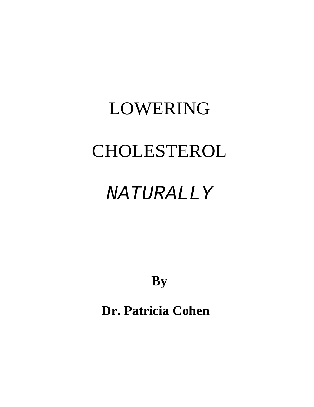# LOWERING CHOLESTEROL

# NATURALLY

**By**

**Dr. Patricia Cohen**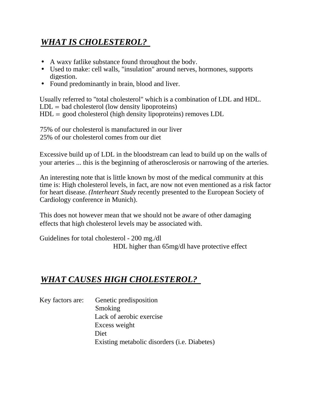## *WHAT IS CHOLESTEROL?*

- A waxy fatlike substance found throughout the body.
- Used to make: cell walls, "insulation" around nerves, hormones, supports digestion.
- Found predominantly in brain, blood and liver.

Usually referred to "total cholesterol" which is a combination of LDL and HDL.  $LDL = bad$  cholesterol (low density lipoproteins)  $HDL =$  good cholesterol (high density lipoproteins) removes  $LDL$ 

75% of our cholesterol is manufactured in our liver 25% of our cholesterol comes from our diet

Excessive build up of LDL in the bloodstream can lead to build up on the walls of your arteries ... this is the beginning of atherosclerosis or narrowing of the arteries.

An interesting note that is little known by most of the medical community at this time is: High cholesterol levels, in fact, are now not even mentioned as a risk factor for heart disease. *(Interheart Study* recently presented to the European Society of Cardiology conference in Munich).

This does not however mean that we should not be aware of other damaging effects that high cholesterol levels may be associated with.

Guidelines for total cholesterol - 200 mg./dl HDL higher than 65mg/dl have protective effect

#### *WHAT CAUSES HIGH CHOLESTEROL?*

| Key factors are: | Genetic predisposition                               |
|------------------|------------------------------------------------------|
|                  | Smoking                                              |
|                  | Lack of aerobic exercise                             |
|                  | Excess weight                                        |
|                  | Diet                                                 |
|                  | Existing metabolic disorders ( <i>i.e.</i> Diabetes) |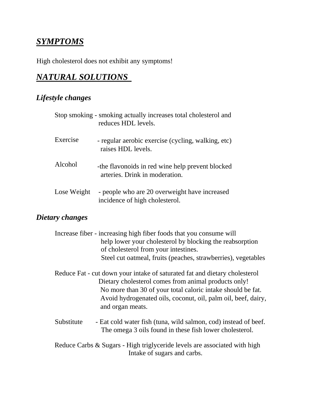### *SYMPTOMS*

High cholesterol does not exhibit any symptoms!

### *NATURAL SOLUTIONS*

#### *Lifestyle changes*

|             | Stop smoking - smoking actually increases total cholesterol and<br>reduces HDL levels. |
|-------------|----------------------------------------------------------------------------------------|
| Exercise    | - regular aerobic exercise (cycling, walking, etc)<br>raises HDL levels.               |
| Alcohol     | -the flavonoids in red wine help prevent blocked<br>arteries. Drink in moderation.     |
| Lose Weight | - people who are 20 overweight have increased<br>incidence of high cholesterol.        |

#### *Dietary changes*

|            | Increase fiber - increasing high fiber foods that you consume will         |  |
|------------|----------------------------------------------------------------------------|--|
|            | help lower your cholesterol by blocking the reabsorption                   |  |
|            | of cholesterol from your intestines.                                       |  |
|            | Steel cut oatmeal, fruits (peaches, strawberries), vegetables              |  |
|            | Reduce Fat - cut down your intake of saturated fat and dietary cholesterol |  |
|            | Dietary cholesterol comes from animal products only!                       |  |
|            | No more than 30 of your total caloric intake should be fat.                |  |
|            | Avoid hydrogenated oils, coconut, oil, palm oil, beef, dairy,              |  |
|            | and organ meats.                                                           |  |
| Substitute | - Eat cold water fish (tuna, wild salmon, cod) instead of beef.            |  |
|            | The omega 3 oils found in these fish lower cholesterol.                    |  |
|            | Reduce Carbs & Sugars - High triglyceride levels are associated with high  |  |
|            | Intake of sugars and carbs.                                                |  |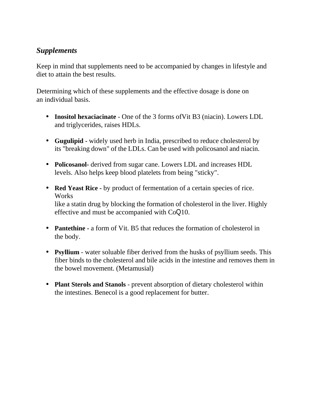#### *Supplements*

Keep in mind that supplements need to be accompanied by changes in lifestyle and diet to attain the best results.

Determining which of these supplements and the effective dosage is done on an individual basis.

- **Inositol hexaciacinate** One of the 3 forms ofVit B3 (niacin). Lowers LDL and triglycerides, raises HDLs.
- **Gugulipid -** widely used herb in India, prescribed to reduce cholesterol by its "breaking down" of the LDLs. Can be used with policosanol and niacin.
- **Policosanol-** derived from sugar cane. Lowers LDL and increases HDL levels. Also helps keep blood platelets from being "sticky".
- **Red Yeast Rice -** by product of fermentation of a certain species of rice. Works like a statin drug by blocking the formation of cholesterol in the liver. Highly effective and must be accompanied with CoQ10.
- **Pantethine -** a form of Vit. B5 that reduces the formation of cholesterol in the body.
- **Psyllium** water soluable fiber derived from the husks of psyllium seeds. This fiber binds to the cholesterol and bile acids in the intestine and removes them in the bowel movement. (Metamusial)
- **Plant Sterols and Stanols** prevent absorption of dietary cholesterol within the intestines. Benecol is a good replacement for butter.